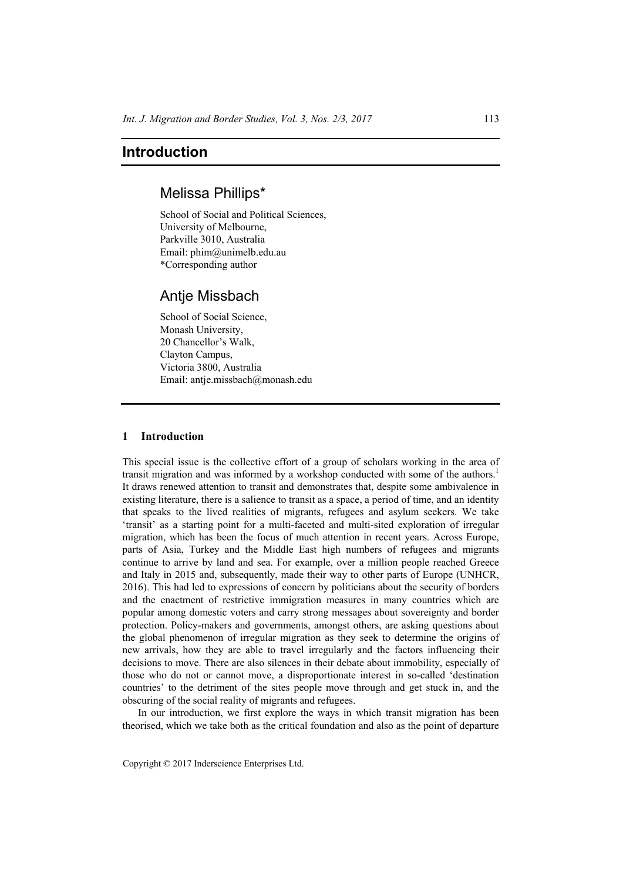# Melissa Phillips\*

School of Social and Political Sciences, University of Melbourne, Parkville 3010, Australia Email: phim@unimelb.edu.au \*Corresponding author

# Antje Missbach

School of Social Science, Monash University, 20 Chancellor's Walk, Clayton Campus, Victoria 3800, Australia Email: antje.missbach@monash.edu

#### **1 Introduction**

This special issue is the collective effort of a group of scholars working in the area of transit migration and was informed by a workshop conducted with some of the authors.<sup>1</sup> It draws renewed attention to transit and demonstrates that, despite some ambivalence in existing literature, there is a salience to transit as a space, a period of time, and an identity that speaks to the lived realities of migrants, refugees and asylum seekers. We take 'transit' as a starting point for a multi-faceted and multi-sited exploration of irregular migration, which has been the focus of much attention in recent years. Across Europe, parts of Asia, Turkey and the Middle East high numbers of refugees and migrants continue to arrive by land and sea. For example, over a million people reached Greece and Italy in 2015 and, subsequently, made their way to other parts of Europe (UNHCR, 2016). This had led to expressions of concern by politicians about the security of borders and the enactment of restrictive immigration measures in many countries which are popular among domestic voters and carry strong messages about sovereignty and border protection. Policy-makers and governments, amongst others, are asking questions about the global phenomenon of irregular migration as they seek to determine the origins of new arrivals, how they are able to travel irregularly and the factors influencing their decisions to move. There are also silences in their debate about immobility, especially of those who do not or cannot move, a disproportionate interest in so-called 'destination countries' to the detriment of the sites people move through and get stuck in, and the obscuring of the social reality of migrants and refugees.

In our introduction, we first explore the ways in which transit migration has been theorised, which we take both as the critical foundation and also as the point of departure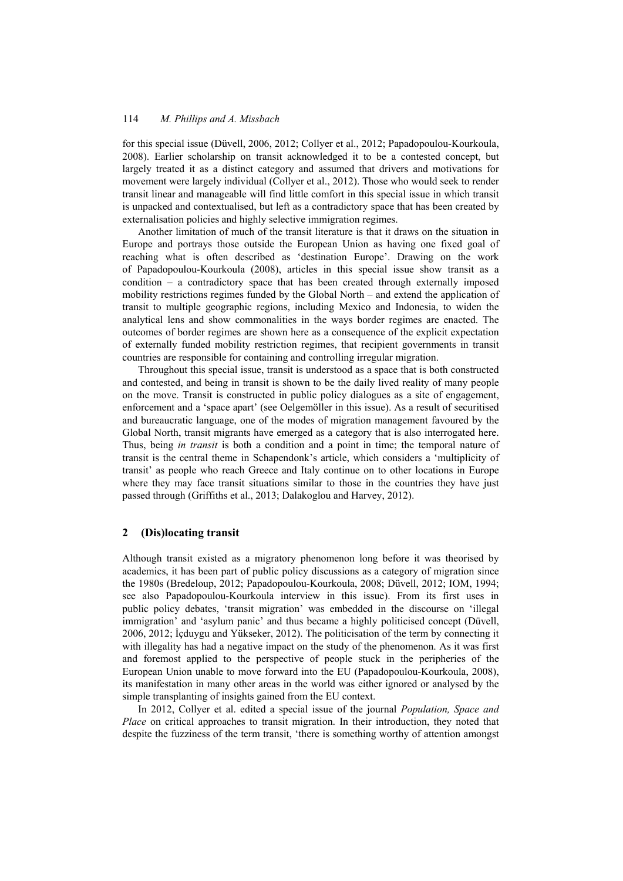## 114 *M. Phillips and A. Missbach*

for this special issue (Düvell, 2006, 2012; Collyer et al., 2012; Papadopoulou-Kourkoula, 2008). Earlier scholarship on transit acknowledged it to be a contested concept, but largely treated it as a distinct category and assumed that drivers and motivations for movement were largely individual (Collyer et al., 2012). Those who would seek to render transit linear and manageable will find little comfort in this special issue in which transit is unpacked and contextualised, but left as a contradictory space that has been created by externalisation policies and highly selective immigration regimes.

Another limitation of much of the transit literature is that it draws on the situation in Europe and portrays those outside the European Union as having one fixed goal of reaching what is often described as 'destination Europe'. Drawing on the work of Papadopoulou-Kourkoula (2008), articles in this special issue show transit as a condition – a contradictory space that has been created through externally imposed mobility restrictions regimes funded by the Global North – and extend the application of transit to multiple geographic regions, including Mexico and Indonesia, to widen the analytical lens and show commonalities in the ways border regimes are enacted. The outcomes of border regimes are shown here as a consequence of the explicit expectation of externally funded mobility restriction regimes, that recipient governments in transit countries are responsible for containing and controlling irregular migration.

Throughout this special issue, transit is understood as a space that is both constructed and contested, and being in transit is shown to be the daily lived reality of many people on the move. Transit is constructed in public policy dialogues as a site of engagement, enforcement and a 'space apart' (see Oelgemöller in this issue). As a result of securitised and bureaucratic language, one of the modes of migration management favoured by the Global North, transit migrants have emerged as a category that is also interrogated here. Thus, being *in transit* is both a condition and a point in time; the temporal nature of transit is the central theme in Schapendonk's article, which considers a 'multiplicity of transit' as people who reach Greece and Italy continue on to other locations in Europe where they may face transit situations similar to those in the countries they have just passed through (Griffiths et al., 2013; Dalakoglou and Harvey, 2012).

## **2 (Dis)locating transit**

Although transit existed as a migratory phenomenon long before it was theorised by academics, it has been part of public policy discussions as a category of migration since the 1980s (Bredeloup, 2012; Papadopoulou-Kourkoula, 2008; Düvell, 2012; IOM, 1994; see also Papadopoulou-Kourkoula interview in this issue). From its first uses in public policy debates, 'transit migration' was embedded in the discourse on 'illegal immigration' and 'asylum panic' and thus became a highly politicised concept (Düvell, 2006, 2012; İçduygu and Yükseker, 2012). The politicisation of the term by connecting it with illegality has had a negative impact on the study of the phenomenon. As it was first and foremost applied to the perspective of people stuck in the peripheries of the European Union unable to move forward into the EU (Papadopoulou-Kourkoula, 2008), its manifestation in many other areas in the world was either ignored or analysed by the simple transplanting of insights gained from the EU context.

In 2012, Collyer et al. edited a special issue of the journal *Population, Space and Place* on critical approaches to transit migration. In their introduction, they noted that despite the fuzziness of the term transit, 'there is something worthy of attention amongst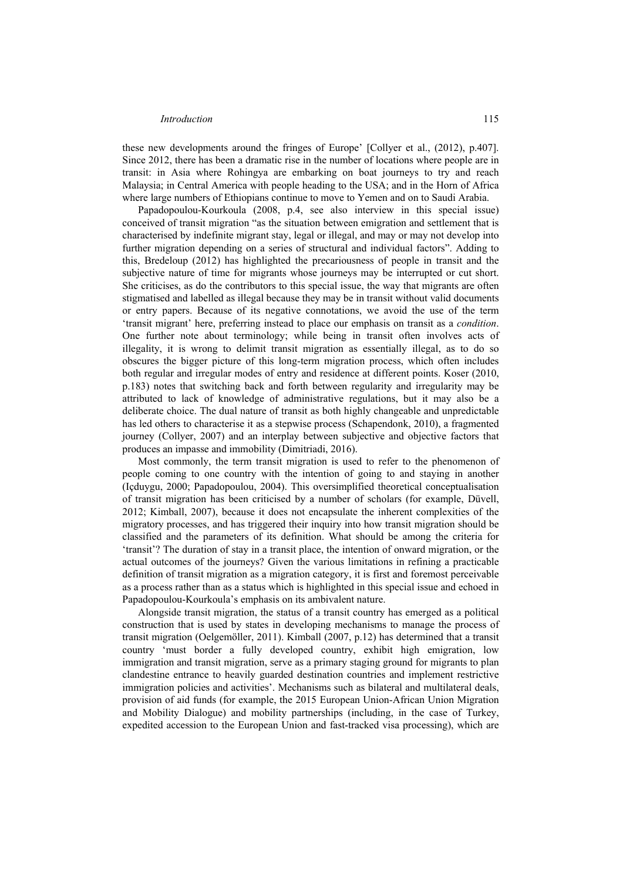these new developments around the fringes of Europe' [Collyer et al., (2012), p.407]. Since 2012, there has been a dramatic rise in the number of locations where people are in transit: in Asia where Rohingya are embarking on boat journeys to try and reach Malaysia; in Central America with people heading to the USA; and in the Horn of Africa where large numbers of Ethiopians continue to move to Yemen and on to Saudi Arabia.

Papadopoulou-Kourkoula (2008, p.4, see also interview in this special issue) conceived of transit migration "as the situation between emigration and settlement that is characterised by indefinite migrant stay, legal or illegal, and may or may not develop into further migration depending on a series of structural and individual factors". Adding to this, Bredeloup (2012) has highlighted the precariousness of people in transit and the subjective nature of time for migrants whose journeys may be interrupted or cut short. She criticises, as do the contributors to this special issue, the way that migrants are often stigmatised and labelled as illegal because they may be in transit without valid documents or entry papers. Because of its negative connotations, we avoid the use of the term 'transit migrant' here, preferring instead to place our emphasis on transit as a *condition*. One further note about terminology; while being in transit often involves acts of illegality, it is wrong to delimit transit migration as essentially illegal, as to do so obscures the bigger picture of this long-term migration process, which often includes both regular and irregular modes of entry and residence at different points. Koser (2010, p.183) notes that switching back and forth between regularity and irregularity may be attributed to lack of knowledge of administrative regulations, but it may also be a deliberate choice. The dual nature of transit as both highly changeable and unpredictable has led others to characterise it as a stepwise process (Schapendonk, 2010), a fragmented journey (Collyer, 2007) and an interplay between subjective and objective factors that produces an impasse and immobility (Dimitriadi, 2016).

Most commonly, the term transit migration is used to refer to the phenomenon of people coming to one country with the intention of going to and staying in another (Içduygu, 2000; Papadopoulou, 2004). This oversimplified theoretical conceptualisation of transit migration has been criticised by a number of scholars (for example, Düvell, 2012; Kimball, 2007), because it does not encapsulate the inherent complexities of the migratory processes, and has triggered their inquiry into how transit migration should be classified and the parameters of its definition. What should be among the criteria for 'transit'? The duration of stay in a transit place, the intention of onward migration, or the actual outcomes of the journeys? Given the various limitations in refining a practicable definition of transit migration as a migration category, it is first and foremost perceivable as a process rather than as a status which is highlighted in this special issue and echoed in Papadopoulou-Kourkoula's emphasis on its ambivalent nature.

Alongside transit migration, the status of a transit country has emerged as a political construction that is used by states in developing mechanisms to manage the process of transit migration (Oelgemöller, 2011). Kimball (2007, p.12) has determined that a transit country 'must border a fully developed country, exhibit high emigration, low immigration and transit migration, serve as a primary staging ground for migrants to plan clandestine entrance to heavily guarded destination countries and implement restrictive immigration policies and activities'. Mechanisms such as bilateral and multilateral deals, provision of aid funds (for example, the 2015 European Union-African Union Migration and Mobility Dialogue) and mobility partnerships (including, in the case of Turkey, expedited accession to the European Union and fast-tracked visa processing), which are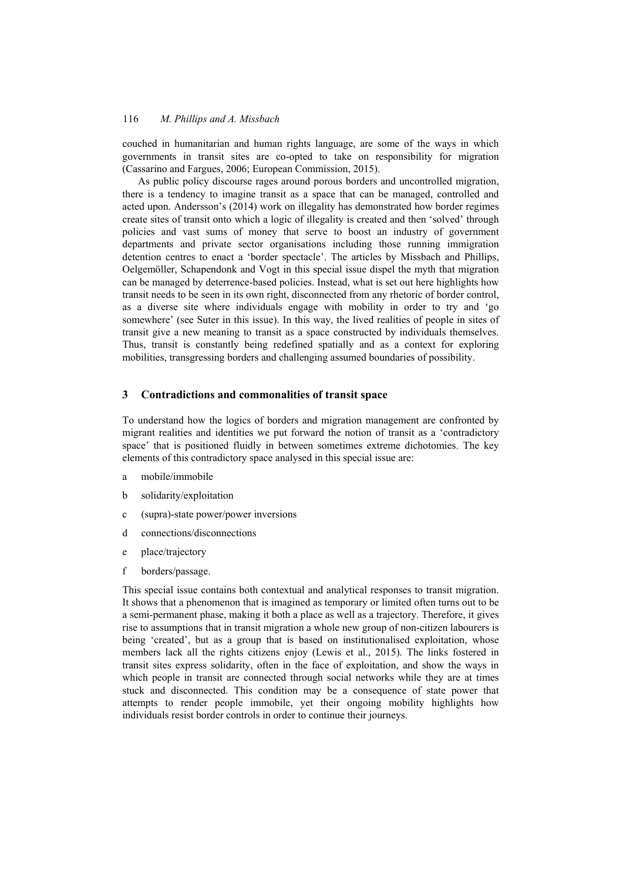## 116 *M. Phillips and A. Missbach*

couched in humanitarian and human rights language, are some of the ways in which governments in transit sites are co-opted to take on responsibility for migration (Cassarino and Fargues, 2006; European Commission, 2015).

As public policy discourse rages around porous borders and uncontrolled migration, there is a tendency to imagine transit as a space that can be managed, controlled and acted upon. Andersson's (2014) work on illegality has demonstrated how border regimes create sites of transit onto which a logic of illegality is created and then 'solved' through policies and vast sums of money that serve to boost an industry of government departments and private sector organisations including those running immigration detention centres to enact a 'border spectacle'. The articles by Missbach and Phillips, Oelgemöller, Schapendonk and Vogt in this special issue dispel the myth that migration can be managed by deterrence-based policies. Instead, what is set out here highlights how transit needs to be seen in its own right, disconnected from any rhetoric of border control, as a diverse site where individuals engage with mobility in order to try and 'go somewhere' (see Suter in this issue). In this way, the lived realities of people in sites of transit give a new meaning to transit as a space constructed by individuals themselves. Thus, transit is constantly being redefined spatially and as a context for exploring mobilities, transgressing borders and challenging assumed boundaries of possibility.

### **3 Contradictions and commonalities of transit space**

To understand how the logics of borders and migration management are confronted by migrant realities and identities we put forward the notion of transit as a 'contradictory space' that is positioned fluidly in between sometimes extreme dichotomies. The key elements of this contradictory space analysed in this special issue are:

- a mobile/immobile
- b solidarity/exploitation
- c (supra)-state power/power inversions
- d connections/disconnections
- e place/trajectory
- f borders/passage.

This special issue contains both contextual and analytical responses to transit migration. It shows that a phenomenon that is imagined as temporary or limited often turns out to be a semi-permanent phase, making it both a place as well as a trajectory. Therefore, it gives rise to assumptions that in transit migration a whole new group of non-citizen labourers is being 'created', but as a group that is based on institutionalised exploitation, whose members lack all the rights citizens enjoy (Lewis et al., 2015). The links fostered in transit sites express solidarity, often in the face of exploitation, and show the ways in which people in transit are connected through social networks while they are at times stuck and disconnected. This condition may be a consequence of state power that attempts to render people immobile, yet their ongoing mobility highlights how individuals resist border controls in order to continue their journeys.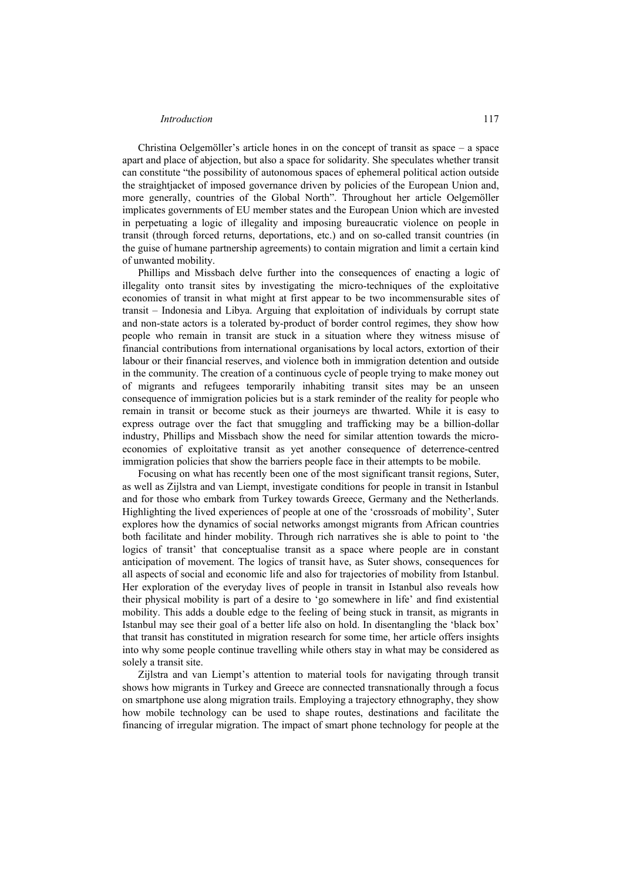Christina Oelgemöller's article hones in on the concept of transit as space  $-$  a space apart and place of abjection, but also a space for solidarity. She speculates whether transit can constitute "the possibility of autonomous spaces of ephemeral political action outside the straightjacket of imposed governance driven by policies of the European Union and, more generally, countries of the Global North". Throughout her article Oelgemöller implicates governments of EU member states and the European Union which are invested in perpetuating a logic of illegality and imposing bureaucratic violence on people in transit (through forced returns, deportations, etc.) and on so-called transit countries (in the guise of humane partnership agreements) to contain migration and limit a certain kind of unwanted mobility.

Phillips and Missbach delve further into the consequences of enacting a logic of illegality onto transit sites by investigating the micro-techniques of the exploitative economies of transit in what might at first appear to be two incommensurable sites of transit – Indonesia and Libya. Arguing that exploitation of individuals by corrupt state and non-state actors is a tolerated by-product of border control regimes, they show how people who remain in transit are stuck in a situation where they witness misuse of financial contributions from international organisations by local actors, extortion of their labour or their financial reserves, and violence both in immigration detention and outside in the community. The creation of a continuous cycle of people trying to make money out of migrants and refugees temporarily inhabiting transit sites may be an unseen consequence of immigration policies but is a stark reminder of the reality for people who remain in transit or become stuck as their journeys are thwarted. While it is easy to express outrage over the fact that smuggling and trafficking may be a billion-dollar industry, Phillips and Missbach show the need for similar attention towards the microeconomies of exploitative transit as yet another consequence of deterrence-centred immigration policies that show the barriers people face in their attempts to be mobile.

Focusing on what has recently been one of the most significant transit regions, Suter, as well as Zijlstra and van Liempt, investigate conditions for people in transit in Istanbul and for those who embark from Turkey towards Greece, Germany and the Netherlands. Highlighting the lived experiences of people at one of the 'crossroads of mobility', Suter explores how the dynamics of social networks amongst migrants from African countries both facilitate and hinder mobility. Through rich narratives she is able to point to 'the logics of transit' that conceptualise transit as a space where people are in constant anticipation of movement. The logics of transit have, as Suter shows, consequences for all aspects of social and economic life and also for trajectories of mobility from Istanbul. Her exploration of the everyday lives of people in transit in Istanbul also reveals how their physical mobility is part of a desire to 'go somewhere in life' and find existential mobility. This adds a double edge to the feeling of being stuck in transit, as migrants in Istanbul may see their goal of a better life also on hold. In disentangling the 'black box' that transit has constituted in migration research for some time, her article offers insights into why some people continue travelling while others stay in what may be considered as solely a transit site.

Zijlstra and van Liempt's attention to material tools for navigating through transit shows how migrants in Turkey and Greece are connected transnationally through a focus on smartphone use along migration trails. Employing a trajectory ethnography, they show how mobile technology can be used to shape routes, destinations and facilitate the financing of irregular migration. The impact of smart phone technology for people at the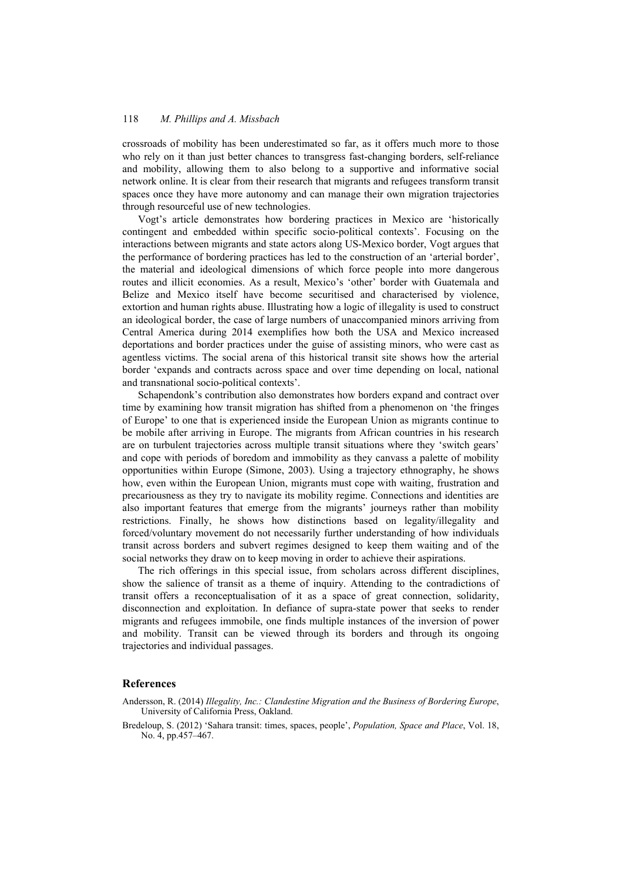## 118 *M. Phillips and A. Missbach*

crossroads of mobility has been underestimated so far, as it offers much more to those who rely on it than just better chances to transgress fast-changing borders, self-reliance and mobility, allowing them to also belong to a supportive and informative social network online. It is clear from their research that migrants and refugees transform transit spaces once they have more autonomy and can manage their own migration trajectories through resourceful use of new technologies.

Vogt's article demonstrates how bordering practices in Mexico are 'historically contingent and embedded within specific socio-political contexts'. Focusing on the interactions between migrants and state actors along US-Mexico border, Vogt argues that the performance of bordering practices has led to the construction of an 'arterial border', the material and ideological dimensions of which force people into more dangerous routes and illicit economies. As a result, Mexico's 'other' border with Guatemala and Belize and Mexico itself have become securitised and characterised by violence, extortion and human rights abuse. Illustrating how a logic of illegality is used to construct an ideological border, the case of large numbers of unaccompanied minors arriving from Central America during 2014 exemplifies how both the USA and Mexico increased deportations and border practices under the guise of assisting minors, who were cast as agentless victims. The social arena of this historical transit site shows how the arterial border 'expands and contracts across space and over time depending on local, national and transnational socio-political contexts'.

Schapendonk's contribution also demonstrates how borders expand and contract over time by examining how transit migration has shifted from a phenomenon on 'the fringes of Europe' to one that is experienced inside the European Union as migrants continue to be mobile after arriving in Europe. The migrants from African countries in his research are on turbulent trajectories across multiple transit situations where they 'switch gears' and cope with periods of boredom and immobility as they canvass a palette of mobility opportunities within Europe (Simone, 2003). Using a trajectory ethnography, he shows how, even within the European Union, migrants must cope with waiting, frustration and precariousness as they try to navigate its mobility regime. Connections and identities are also important features that emerge from the migrants' journeys rather than mobility restrictions. Finally, he shows how distinctions based on legality/illegality and forced/voluntary movement do not necessarily further understanding of how individuals transit across borders and subvert regimes designed to keep them waiting and of the social networks they draw on to keep moving in order to achieve their aspirations.

The rich offerings in this special issue, from scholars across different disciplines, show the salience of transit as a theme of inquiry. Attending to the contradictions of transit offers a reconceptualisation of it as a space of great connection, solidarity, disconnection and exploitation. In defiance of supra-state power that seeks to render migrants and refugees immobile, one finds multiple instances of the inversion of power and mobility. Transit can be viewed through its borders and through its ongoing trajectories and individual passages.

#### **References**

- Andersson, R. (2014) *Illegality, Inc.: Clandestine Migration and the Business of Bordering Europe*, University of California Press, Oakland.
- Bredeloup, S. (2012) 'Sahara transit: times, spaces, people', *Population, Space and Place*, Vol. 18, No. 4, pp.457–467.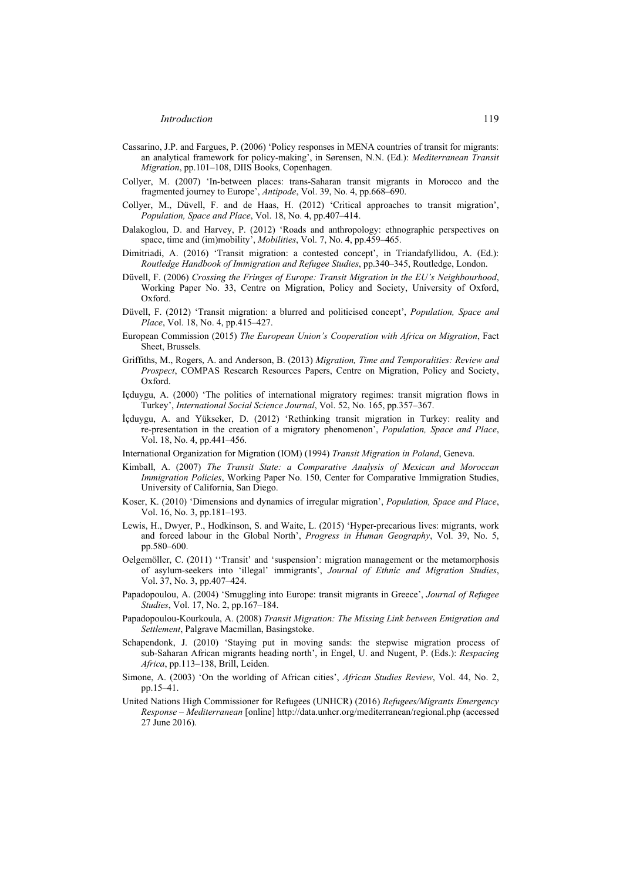- Cassarino, J.P. and Fargues, P. (2006) 'Policy responses in MENA countries of transit for migrants: an analytical framework for policy-making', in Sørensen, N.N. (Ed.): *Mediterranean Transit Migration*, pp.101–108, DIIS Books, Copenhagen.
- Collyer, M. (2007) 'In-between places: trans-Saharan transit migrants in Morocco and the fragmented journey to Europe', *Antipode*, Vol. 39, No. 4, pp.668–690.
- Collyer, M., Düvell, F. and de Haas, H. (2012) 'Critical approaches to transit migration', *Population, Space and Place*, Vol. 18, No. 4, pp.407–414.
- Dalakoglou, D. and Harvey, P. (2012) 'Roads and anthropology: ethnographic perspectives on space, time and (im)mobility', *Mobilities*, Vol. 7, No. 4, pp.459–465.
- Dimitriadi, A. (2016) 'Transit migration: a contested concept', in Triandafyllidou, A. (Ed.): *Routledge Handbook of Immigration and Refugee Studies*, pp.340–345, Routledge, London.
- Düvell, F. (2006) *Crossing the Fringes of Europe: Transit Migration in the EU's Neighbourhood*, Working Paper No. 33, Centre on Migration, Policy and Society, University of Oxford, Oxford.
- Düvell, F. (2012) 'Transit migration: a blurred and politicised concept', *Population, Space and Place*, Vol. 18, No. 4, pp.415–427.
- European Commission (2015) *The European Union's Cooperation with Africa on Migration*, Fact Sheet, Brussels.
- Griffiths, M., Rogers, A. and Anderson, B. (2013) *Migration, Time and Temporalities: Review and Prospect*, COMPAS Research Resources Papers, Centre on Migration, Policy and Society, Oxford.
- Içduygu, A. (2000) 'The politics of international migratory regimes: transit migration flows in Turkey', *International Social Science Journal*, Vol. 52, No. 165, pp.357–367.
- İçduygu, A. and Yükseker, D. (2012) 'Rethinking transit migration in Turkey: reality and re-presentation in the creation of a migratory phenomenon', *Population, Space and Place*, Vol. 18, No. 4, pp.441–456.
- International Organization for Migration (IOM) (1994) *Transit Migration in Poland*, Geneva.
- Kimball, A. (2007) *The Transit State: a Comparative Analysis of Mexican and Moroccan Immigration Policies*, Working Paper No. 150, Center for Comparative Immigration Studies, University of California, San Diego.
- Koser, K. (2010) 'Dimensions and dynamics of irregular migration', *Population, Space and Place*, Vol. 16, No. 3, pp.181–193.
- Lewis, H., Dwyer, P., Hodkinson, S. and Waite, L. (2015) 'Hyper-precarious lives: migrants, work and forced labour in the Global North', *Progress in Human Geography*, Vol. 39, No. 5, pp.580–600.
- Oelgemöller, C. (2011) ''Transit' and 'suspension': migration management or the metamorphosis of asylum-seekers into 'illegal' immigrants', *Journal of Ethnic and Migration Studies*, Vol. 37, No. 3, pp.407–424.
- Papadopoulou, A. (2004) 'Smuggling into Europe: transit migrants in Greece', *Journal of Refugee Studies*, Vol. 17, No. 2, pp.167–184.
- Papadopoulou-Kourkoula, A. (2008) *Transit Migration: The Missing Link between Emigration and Settlement*, Palgrave Macmillan, Basingstoke.
- Schapendonk, J. (2010) 'Staying put in moving sands: the stepwise migration process of sub-Saharan African migrants heading north', in Engel, U. and Nugent, P. (Eds.): *Respacing Africa*, pp.113–138, Brill, Leiden.
- Simone, A. (2003) 'On the worlding of African cities', *African Studies Review*, Vol. 44, No. 2, pp.15–41.
- United Nations High Commissioner for Refugees (UNHCR) (2016) *Refugees/Migrants Emergency Response – Mediterranean* [online] http://data.unhcr.org/mediterranean/regional.php (accessed 27 June 2016).